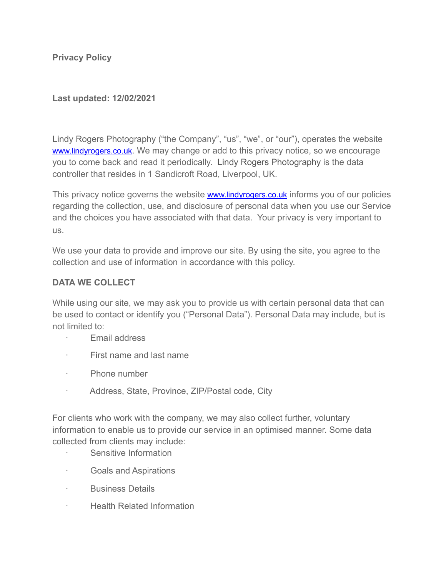**Privacy Policy** 

## **Last updated: 12/02/2021**

Lindy Rogers Photography ("the Company", "us", "we", or "our"), operates the website [www.lindyrogers.co.uk](http://www.lindyrogers.co.uk). We may change or add to this privacy notice, so we encourage you to come back and read it periodically. Lindy Rogers Photography is the data controller that resides in 1 Sandicroft Road, Liverpool, UK.

This privacy notice governs the website [www.lindyrogers.co.uk](http://www.lindyrogers.co.uk) informs you of our policies regarding the collection, use, and disclosure of personal data when you use our Service and the choices you have associated with that data. Your privacy is very important to us.

We use your data to provide and improve our site. By using the site, you agree to the collection and use of information in accordance with this policy.

## **DATA WE COLLECT**

While using our site, we may ask you to provide us with certain personal data that can be used to contact or identify you ("Personal Data"). Personal Data may include, but is not limited to:

- · Email address
- · First name and last name
- · Phone number
- · Address, State, Province, ZIP/Postal code, City

For clients who work with the company, we may also collect further, voluntary information to enable us to provide our service in an optimised manner. Some data collected from clients may include:

- Sensitive Information
- · Goals and Aspirations
- · Business Details
- · Health Related Information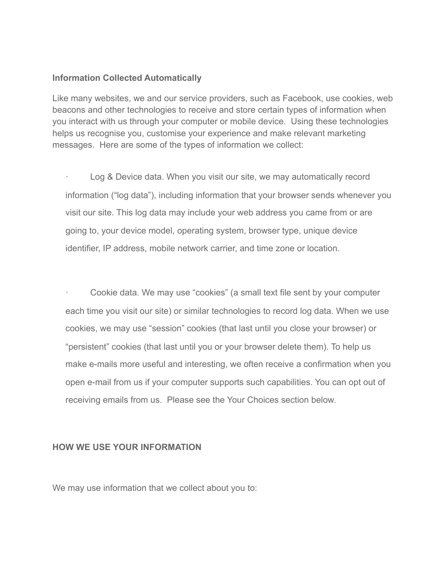#### **Information Collected Automatically**

Like many websites, we and our service providers, such as Facebook, use cookies, web beacons and other technologies to receive and store certain types of information when you interact with us through your computer or mobile device. Using these technologies helps us recognise you, customise your experience and make relevant marketing messages. Here are some of the types of information we collect:

Log & Device data. When you visit our site, we may automatically record information ("log data"), including information that your browser sends whenever you visit our site. This log data may include your web address you came from or are going to, your device model, operating system, browser type, unique device identifier, IP address, mobile network carrier, and time zone or location.

· Cookie data. We may use "cookies" (a small text file sent by your computer each time you visit our site) or similar technologies to record log data. When we use cookies, we may use "session" cookies (that last until you close your browser) or "persistent" cookies (that last until you or your browser delete them). To help us make e-mails more useful and interesting, we often receive a confirmation when you open e-mail from us if your computer supports such capabilities. You can opt out of receiving emails from us. Please see the Your Choices section below.

#### **HOW WE USE YOUR INFORMATION**

We may use information that we collect about you to: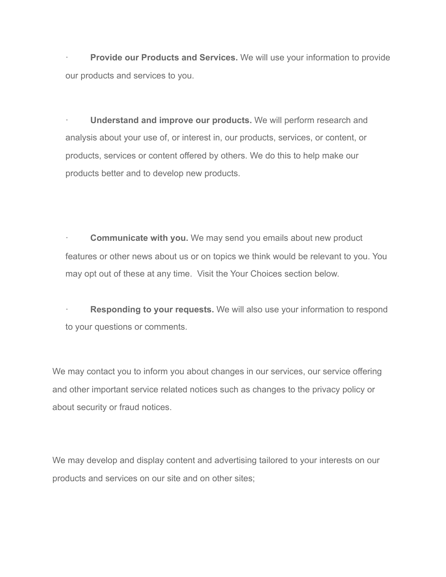**Provide our Products and Services.** We will use your information to provide our products and services to you.

· **Understand and improve our products.** We will perform research and analysis about your use of, or interest in, our products, services, or content, or products, services or content offered by others. We do this to help make our products better and to develop new products.

**Communicate with you.** We may send you emails about new product features or other news about us or on topics we think would be relevant to you. You may opt out of these at any time. Visit the Your Choices section below.

**Responding to your requests.** We will also use your information to respond to your questions or comments.

We may contact you to inform you about changes in our services, our service offering and other important service related notices such as changes to the privacy policy or about security or fraud notices.

We may develop and display content and advertising tailored to your interests on our products and services on our site and on other sites;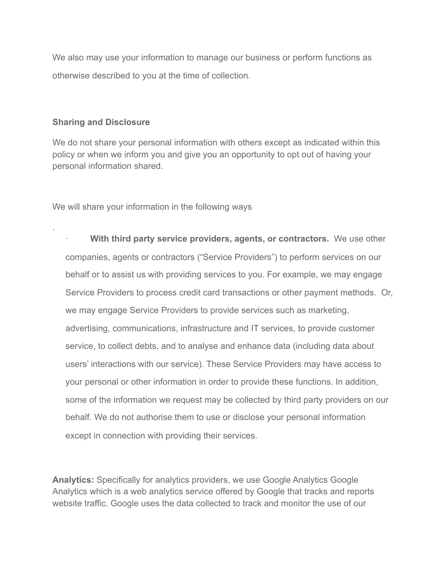We also may use your information to manage our business or perform functions as otherwise described to you at the time of collection.

### **Sharing and Disclosure**

.

We do not share your personal information with others except as indicated within this policy or when we inform you and give you an opportunity to opt out of having your personal information shared.

We will share your information in the following ways

**With third party service providers, agents, or contractors.** We use other companies, agents or contractors ("Service Providers") to perform services on our behalf or to assist us with providing services to you. For example, we may engage Service Providers to process credit card transactions or other payment methods. Or, we may engage Service Providers to provide services such as marketing, advertising, communications, infrastructure and IT services, to provide customer service, to collect debts, and to analyse and enhance data (including data about users' interactions with our service). These Service Providers may have access to your personal or other information in order to provide these functions. In addition, some of the information we request may be collected by third party providers on our behalf. We do not authorise them to use or disclose your personal information except in connection with providing their services.

**Analytics:** Specifically for analytics providers, we use Google Analytics Google Analytics which is a web analytics service offered by Google that tracks and reports website traffic. Google uses the data collected to track and monitor the use of our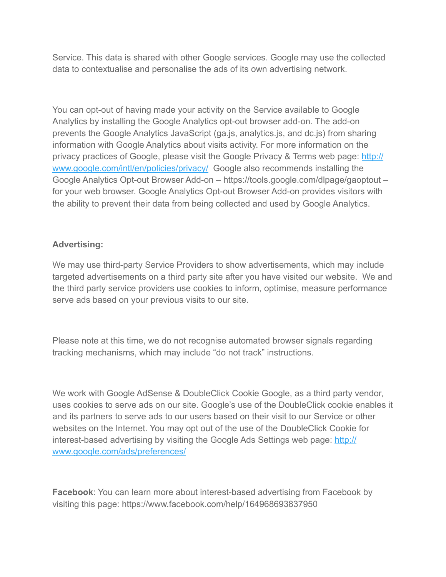Service. This data is shared with other Google services. Google may use the collected data to contextualise and personalise the ads of its own advertising network.

You can opt-out of having made your activity on the Service available to Google Analytics by installing the Google Analytics opt-out browser add-on. The add-on prevents the Google Analytics JavaScript (ga.js, analytics.js, and dc.js) from sharing information with Google Analytics about visits activity. For more information on the privacy practices of Google, please visit the Google Privacy & Terms web page: [http://](http://www.google.com/intl/en/policies/privacy/) [www.google.com/intl/en/policies/privacy/](http://www.google.com/intl/en/policies/privacy/) Google also recommends installing the Google Analytics Opt-out Browser Add-on – https://tools.google.com/dlpage/gaoptout – for your web browser. Google Analytics Opt-out Browser Add-on provides visitors with the ability to prevent their data from being collected and used by Google Analytics.

## **Advertising:**

We may use third-party Service Providers to show advertisements, which may include targeted advertisements on a third party site after you have visited our website. We and the third party service providers use cookies to inform, optimise, measure performance serve ads based on your previous visits to our site.

Please note at this time, we do not recognise automated browser signals regarding tracking mechanisms, which may include "do not track" instructions.

We work with Google AdSense & DoubleClick Cookie Google, as a third party vendor, uses cookies to serve ads on our site. Google's use of the DoubleClick cookie enables it and its partners to serve ads to our users based on their visit to our Service or other websites on the Internet. You may opt out of the use of the DoubleClick Cookie for interest-based advertising by visiting the Google Ads Settings web page: [http://](http://www.google.com/ads/preferences/) [www.google.com/ads/preferences/](http://www.google.com/ads/preferences/)

**Facebook**: You can learn more about interest-based advertising from Facebook by visiting this page: https://www.facebook.com/help/164968693837950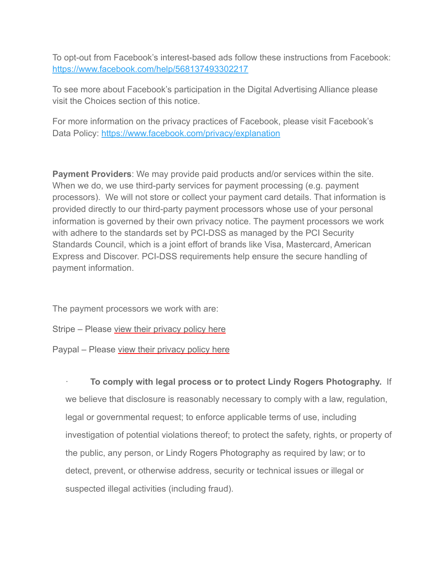To opt-out from Facebook's interest-based ads follow these instructions from Facebook: <https://www.facebook.com/help/568137493302217>

To see more about Facebook's participation in the Digital Advertising Alliance please visit the Choices section of this notice.

For more information on the privacy practices of Facebook, please visit Facebook's Data Policy:<https://www.facebook.com/privacy/explanation>

**Payment Providers**: We may provide paid products and/or services within the site. When we do, we use third-party services for payment processing (e.g. payment processors). We will not store or collect your payment card details. That information is provided directly to our third-party payment processors whose use of your personal information is governed by their own privacy notice. The payment processors we work with adhere to the standards set by PCI-DSS as managed by the PCI Security Standards Council, which is a joint effort of brands like Visa, Mastercard, American Express and Discover. PCI-DSS requirements help ensure the secure handling of payment information.

The payment processors we work with are:

Stripe – Please [view their privacy policy here](https://stripe.com/gb/privacy)

Paypal – Please [view their privacy policy here](https://www.paypal.com/uk/webapps/mpp/ua/privacy-prev)

· **To comply with legal process or to protect Lindy Rogers Photography.** If we believe that disclosure is reasonably necessary to comply with a law, regulation, legal or governmental request; to enforce applicable terms of use, including investigation of potential violations thereof; to protect the safety, rights, or property of the public, any person, or Lindy Rogers Photography as required by law; or to detect, prevent, or otherwise address, security or technical issues or illegal or suspected illegal activities (including fraud).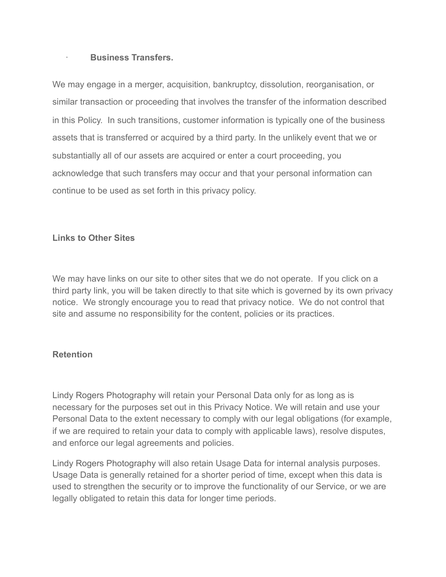### · **Business Transfers.**

We may engage in a merger, acquisition, bankruptcy, dissolution, reorganisation, or similar transaction or proceeding that involves the transfer of the information described in this Policy. In such transitions, customer information is typically one of the business assets that is transferred or acquired by a third party. In the unlikely event that we or substantially all of our assets are acquired or enter a court proceeding, you acknowledge that such transfers may occur and that your personal information can continue to be used as set forth in this privacy policy.

### **Links to Other Sites**

We may have links on our site to other sites that we do not operate. If you click on a third party link, you will be taken directly to that site which is governed by its own privacy notice. We strongly encourage you to read that privacy notice. We do not control that site and assume no responsibility for the content, policies or its practices.

### **Retention**

Lindy Rogers Photography will retain your Personal Data only for as long as is necessary for the purposes set out in this Privacy Notice. We will retain and use your Personal Data to the extent necessary to comply with our legal obligations (for example, if we are required to retain your data to comply with applicable laws), resolve disputes, and enforce our legal agreements and policies.

Lindy Rogers Photography will also retain Usage Data for internal analysis purposes. Usage Data is generally retained for a shorter period of time, except when this data is used to strengthen the security or to improve the functionality of our Service, or we are legally obligated to retain this data for longer time periods.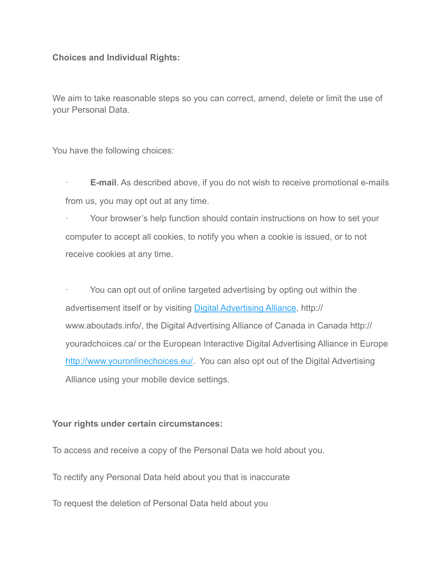### **Choices and Individual Rights:**

We aim to take reasonable steps so you can correct, amend, delete or limit the use of your Personal Data.

You have the following choices:

- · **E-mail**. As described above, if you do not wish to receive promotional e-mails from us, you may opt out at any time.
- Your browser's help function should contain instructions on how to set your computer to accept all cookies, to notify you when a cookie is issued, or to not receive cookies at any time.

You can opt out of online targeted advertising by opting out within the advertisement itself or by visiting [Digital Advertising Alliance,](http://www.aboutads.info/) http:// www.aboutads.info/, the Digital Advertising Alliance of Canada in Canada http:// youradchoices.ca/ or the European Interactive Digital Advertising Alliance in Europe [http://www.youronlinechoices.eu/.](http://www.youronlinechoices.eu/) You can also opt out of the Digital Advertising Alliance using your mobile device settings.

### **Your rights under certain circumstances:**

To access and receive a copy of the Personal Data we hold about you.

To rectify any Personal Data held about you that is inaccurate

To request the deletion of Personal Data held about you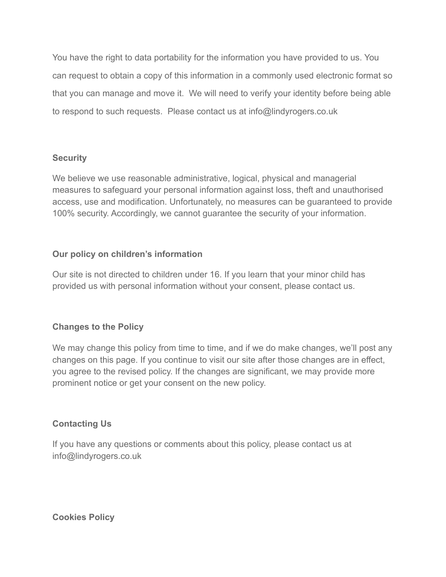You have the right to data portability for the information you have provided to us. You can request to obtain a copy of this information in a commonly used electronic format so that you can manage and move it. We will need to verify your identity before being able to respond to such requests. Please contact us at info@lindyrogers.co.uk

## **Security**

We believe we use reasonable administrative, logical, physical and managerial measures to safeguard your personal information against loss, theft and unauthorised access, use and modification. Unfortunately, no measures can be guaranteed to provide 100% security. Accordingly, we cannot guarantee the security of your information.

# **Our policy on children's information**

Our site is not directed to children under 16. If you learn that your minor child has provided us with personal information without your consent, please contact us.

# **Changes to the Policy**

We may change this policy from time to time, and if we do make changes, we'll post any changes on this page. If you continue to visit our site after those changes are in effect, you agree to the revised policy. If the changes are significant, we may provide more prominent notice or get your consent on the new policy.

# **Contacting Us**

If you have any questions or comments about this policy, please contact us at info@lindyrogers.co.uk

**Cookies Policy**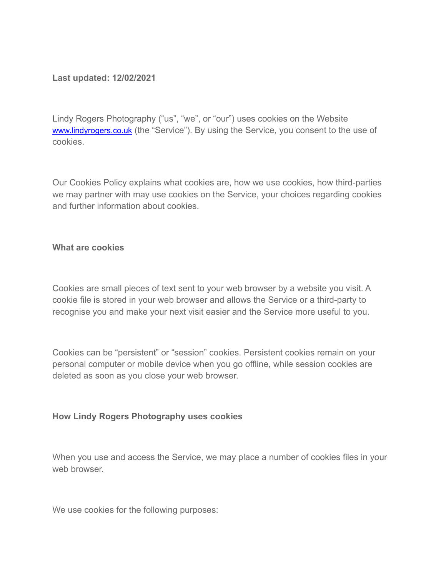### **Last updated: 12/02/2021**

Lindy Rogers Photography ("us", "we", or "our") uses cookies on the Website [www.lindyrogers.co.uk](http://www.lindyrogers.co.uk) (the "Service"). By using the Service, you consent to the use of cookies.

Our Cookies Policy explains what cookies are, how we use cookies, how third-parties we may partner with may use cookies on the Service, your choices regarding cookies and further information about cookies.

### **What are cookies**

Cookies are small pieces of text sent to your web browser by a website you visit. A cookie file is stored in your web browser and allows the Service or a third-party to recognise you and make your next visit easier and the Service more useful to you.

Cookies can be "persistent" or "session" cookies. Persistent cookies remain on your personal computer or mobile device when you go offline, while session cookies are deleted as soon as you close your web browser.

### **How Lindy Rogers Photography uses cookies**

When you use and access the Service, we may place a number of cookies files in your web browser.

We use cookies for the following purposes: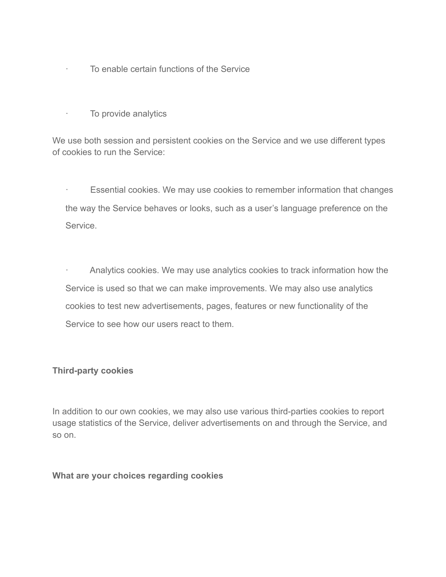- · To enable certain functions of the Service
- · To provide analytics

We use both session and persistent cookies on the Service and we use different types of cookies to run the Service:

· Essential cookies. We may use cookies to remember information that changes the way the Service behaves or looks, such as a user's language preference on the Service.

Analytics cookies. We may use analytics cookies to track information how the Service is used so that we can make improvements. We may also use analytics cookies to test new advertisements, pages, features or new functionality of the Service to see how our users react to them.

### **Third-party cookies**

In addition to our own cookies, we may also use various third-parties cookies to report usage statistics of the Service, deliver advertisements on and through the Service, and so on.

#### **What are your choices regarding cookies**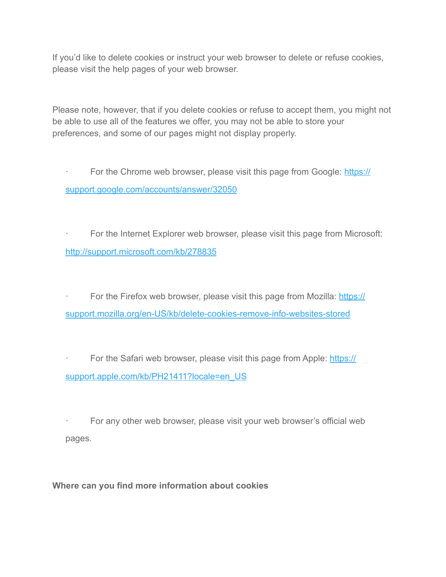If you'd like to delete cookies or instruct your web browser to delete or refuse cookies, please visit the help pages of your web browser.

Please note, however, that if you delete cookies or refuse to accept them, you might not be able to use all of the features we offer, you may not be able to store your preferences, and some of our pages might not display properly.

For the Chrome web browser, please visit this page from Google: [https://](https://support.google.com/accounts/answer/32050) [support.google.com/accounts/answer/32050](https://support.google.com/accounts/answer/32050)

For the Internet Explorer web browser, please visit this page from Microsoft: <http://support.microsoft.com/kb/278835>

For the Firefox web browser, please visit this page from Mozilla: [https://](https://support.mozilla.org/en-US/kb/delete-cookies-remove-info-websites-stored) [support.mozilla.org/en-US/kb/delete-cookies-remove-info-websites-stored](https://support.mozilla.org/en-US/kb/delete-cookies-remove-info-websites-stored) 

For the Safari web browser, please visit this page from Apple: [https://](https://support.apple.com/kb/PH21411?locale=en_US) support.apple.com/kb/PH21411?locale=en\_US

For any other web browser, please visit your web browser's official web pages.

**Where can you find more information about cookies**